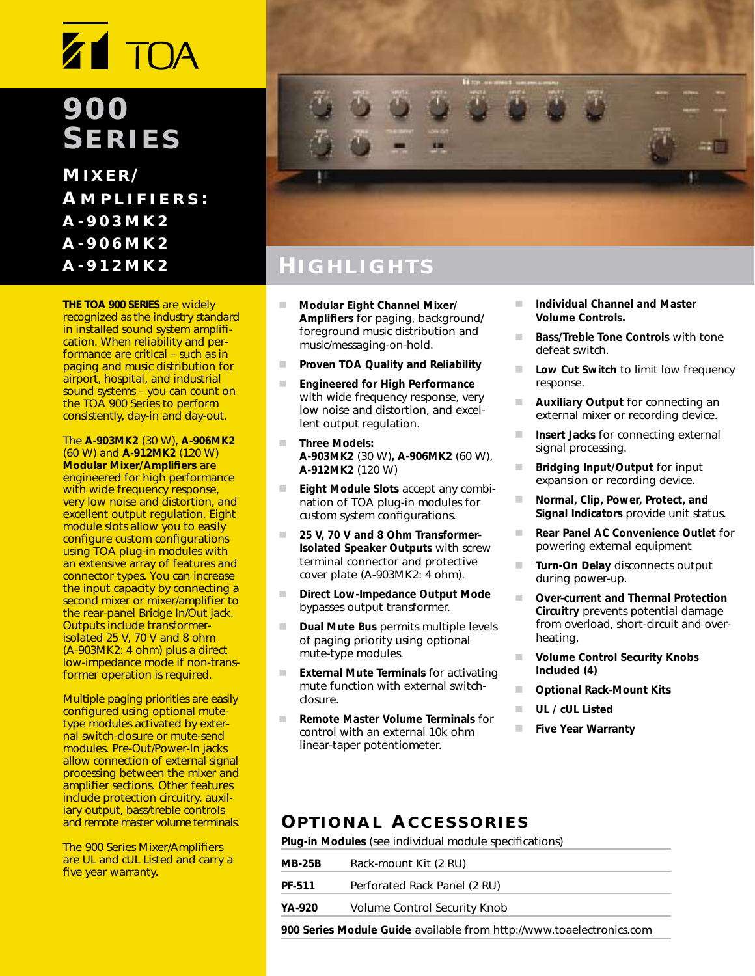# **Z1 TOA**

### **900 SERIES**

**M IXER / A MPLIFIERS : A-903MK2 A-906MK2 A-912MK2**

**THE TOA 900 SERIES** are widely recognized as the industry standard in installed sound system amplification. When reliability and performance are critical – such as in paging and music distribution for airport, hospital, and industrial sound systems – you can count on the TOA 900 Series to perform consistently, day-in and day-out.

The **A-903MK2** (30 W), **A-906MK2** (60 W) and **A-912MK2** (120 W) **Modular Mixer/Amplifiers** are engineered for high performance with wide frequency response, very low noise and distortion, and excellent output regulation. Eight module slots allow you to easily configure custom configurations using TOA plug-in modules with an extensive array of features and connector types. You can increase the input capacity by connecting a second mixer or mixer/amplifier to the rear-panel Bridge In/Out jack. Outputs include transformerisolated 25 V, 70 V and 8 ohm (A-903MK2: 4 ohm) plus a direct low-impedance mode if non-transformer operation is required.

Multiple paging priorities are easily configured using optional mutetype modules activated by external switch-closure or mute-send modules. Pre-Out/Power-In jacks allow connection of external signal processing between the mixer and amplifier sections. Other features include protection circuitry, auxiliary output, bass/treble controls and remote master volume terminals.

The 900 Series Mixer/Amplifiers are UL and cUL Listed and carry a five year warranty.



### **H IGHLIGHTS**

- - **Modular Eight Channel Mixer/ Amplifiers** for paging, background/ foreground music distribution and music/messaging-on-hold.
- -**Proven TOA Quality and Reliability**
- - **Engineered for High Performance**  with wide frequency response, very low noise and distortion, and excellent output regulation.
- - **Three Models: A-903MK2** (30 W)**, A-906MK2** (60 W), **A-912MK2** (120 W)
- - **Eight Module Slots** accept any combination of TOA plug-in modules for custom system configurations.
- - **25 V, 70 V and 8 Ohm Transformer-Isolated Speaker Outputs** with screw terminal connector and protective cover plate (A-903MK2: 4 ohm).
- - **Direct Low-Impedance Output Mode**  bypasses output transformer.
- - **Dual Mute Bus** permits multiple levels of paging priority using optional mute-type modules.
- - **External Mute Terminals** for activating mute function with external switchclosure.
- - **Remote Master Volume Terminals** for control with an external 10k ohm linear-taper potentiometer.
- - **Individual Channel and Master Volume Controls.**
- - **Bass/Treble Tone Controls** with tone defeat switch.
- - **Low Cut Switch** to limit low frequency response.
- - **Auxiliary Output** for connecting an external mixer or recording device.
- - **Insert Jacks** for connecting external signal processing.
- - **Bridging Input/Output** for input expansion or recording device.
- - **Normal, Clip, Power, Protect, and Signal Indicators** provide unit status.
- - **Rear Panel AC Convenience Outlet** for powering external equipment
- - **Turn-On Delay** disconnects output during power-up.
- - **Over-current and Thermal Protection Circuitry** prevents potential damage from overload, short-circuit and overheating.
- - **Volume Control Security Knobs Included (4)**
- -**Optional Rack-Mount Kits**
- -**UL / cUL Listed**
- -**Five Year Warranty**

#### **OPTIONAL ACCESSORIES**

**Plug-in Modules** (see individual module specifications)

| <b>MB-25B</b>                                                        | Rack-mount Kit (2 RU)        |  |  |  |
|----------------------------------------------------------------------|------------------------------|--|--|--|
| PF-511                                                               | Perforated Rack Panel (2 RU) |  |  |  |
| YA-920                                                               | Volume Control Security Knob |  |  |  |
| 900 Series Module Guide available from http://www.toaelectronics.com |                              |  |  |  |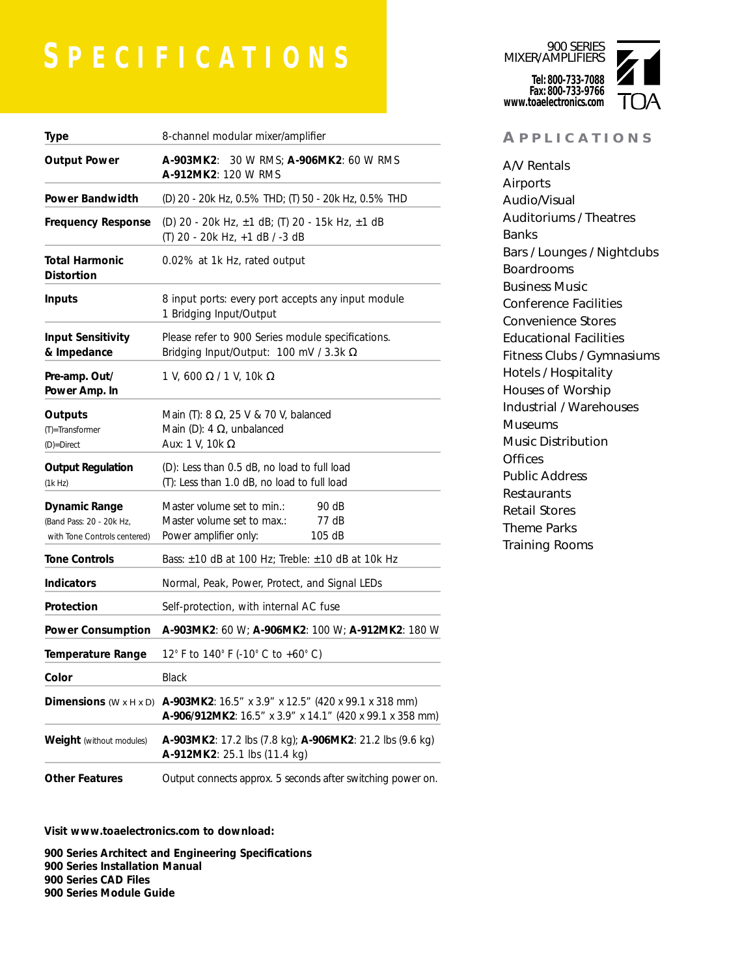## **S PECIFICATIONS**

| <b>Type</b>                                                                      | 8-channel modular mixer/amplifier                                                                                        |  |  |  |  |  |  |
|----------------------------------------------------------------------------------|--------------------------------------------------------------------------------------------------------------------------|--|--|--|--|--|--|
| <b>Output Power</b>                                                              | <b>A-903MK2:</b> 30 W RMS; <b>A-906MK2:</b> 60 W RMS<br>A-912MK2: 120 W RMS                                              |  |  |  |  |  |  |
| <b>Power Bandwidth</b>                                                           | (D) 20 - 20k Hz, 0.5% THD; (T) 50 - 20k Hz, 0.5% THD                                                                     |  |  |  |  |  |  |
| <b>Frequency Response</b>                                                        | (D) 20 - 20k Hz, ±1 dB; (T) 20 - 15k Hz, ±1 dB<br>(T) 20 - 20k Hz, +1 dB / -3 dB                                         |  |  |  |  |  |  |
| <b>Total Harmonic</b><br><b>Distortion</b>                                       | 0.02% at 1k Hz, rated output                                                                                             |  |  |  |  |  |  |
| <b>Inputs</b>                                                                    | 8 input ports: every port accepts any input module<br>1 Bridging Input/Output                                            |  |  |  |  |  |  |
| <b>Input Sensitivity</b><br>& Impedance                                          | Please refer to 900 Series module specifications.<br>Bridging Input/Output: 100 mV / 3.3k $\Omega$                       |  |  |  |  |  |  |
| Pre-amp. Out/<br>Power Amp. In                                                   | 1 V, 600 $\Omega$ / 1 V, 10k $\Omega$                                                                                    |  |  |  |  |  |  |
| Outputs<br>(T)=Transformer<br>(D)=Direct                                         | Main (T): 8 $\Omega$ , 25 V & 70 V, balanced<br>Main (D): 4 $\Omega$ , unbalanced<br>Aux: 1 V, 10 $k \Omega$             |  |  |  |  |  |  |
| <b>Output Regulation</b><br>(1k Hz)                                              | (D): Less than 0.5 dB, no load to full load<br>(T): Less than 1.0 dB, no load to full load                               |  |  |  |  |  |  |
| <b>Dynamic Range</b><br>(Band Pass: 20 - 20k Hz,<br>with Tone Controls centered) | Master volume set to min.:<br>90 dB<br>Master volume set to max.:<br>77 dB<br>Power amplifier only:<br>105 dB            |  |  |  |  |  |  |
| <b>Tone Controls</b>                                                             | Bass: $\pm 10$ dB at 100 Hz; Treble: $\pm 10$ dB at 10k Hz                                                               |  |  |  |  |  |  |
| <b>Indicators</b>                                                                | Normal, Peak, Power, Protect, and Signal LEDs                                                                            |  |  |  |  |  |  |
| Protection                                                                       | Self-protection, with internal AC fuse                                                                                   |  |  |  |  |  |  |
| <b>Power Consumption</b>                                                         | A-903MK2: 60 W; A-906MK2: 100 W; A-912MK2: 180 W                                                                         |  |  |  |  |  |  |
| <b>Temperature Range</b>                                                         | 12° F to 140° F (-10° C to +60° C)                                                                                       |  |  |  |  |  |  |
| Color                                                                            | Black                                                                                                                    |  |  |  |  |  |  |
| Dimensions $(W \times H \times D)$                                               | <b>A-903MK2</b> : 16.5" x 3.9" x 12.5" (420 x 99.1 x 318 mm)<br>A-906/912MK2: 16.5" x 3.9" x 14.1" (420 x 99.1 x 358 mm) |  |  |  |  |  |  |
| <b>Weight</b> (without modules)                                                  | <b>A-903MK2</b> : 17.2 lbs (7.8 kg); <b>A-906MK2</b> : 21.2 lbs (9.6 kg)<br>A-912MK2: 25.1 lbs (11.4 kg)                 |  |  |  |  |  |  |
| <b>Other Features</b>                                                            | Output connects approx. 5 seconds after switching power on.                                                              |  |  |  |  |  |  |

900 SERIES MIXER/AMPLIFIERS **Tel: 800-733-7088 Fax: 800-733-9766 www.toaelectronics.com**

#### **A PPLICATIONS**

A/V Rentals Airports Audio/Visual Auditoriums / Theatres Banks Bars / Lounges / Nightclubs Boardrooms Business Music Conference Facilities Convenience Stores Educational Facilities Fitness Clubs / Gymnasiums Hotels / Hospitality Houses of Worship Industrial / Warehouses Museums Music Distribution **Offices** Public Address Restaurants Retail Stores Theme Parks Training Rooms

**Visit www.toaelectronics.com to download:**

**900 Series Architect and Engineering Specifications 900 Series Installation Manual 900 Series CAD Files 900 Series Module Guide**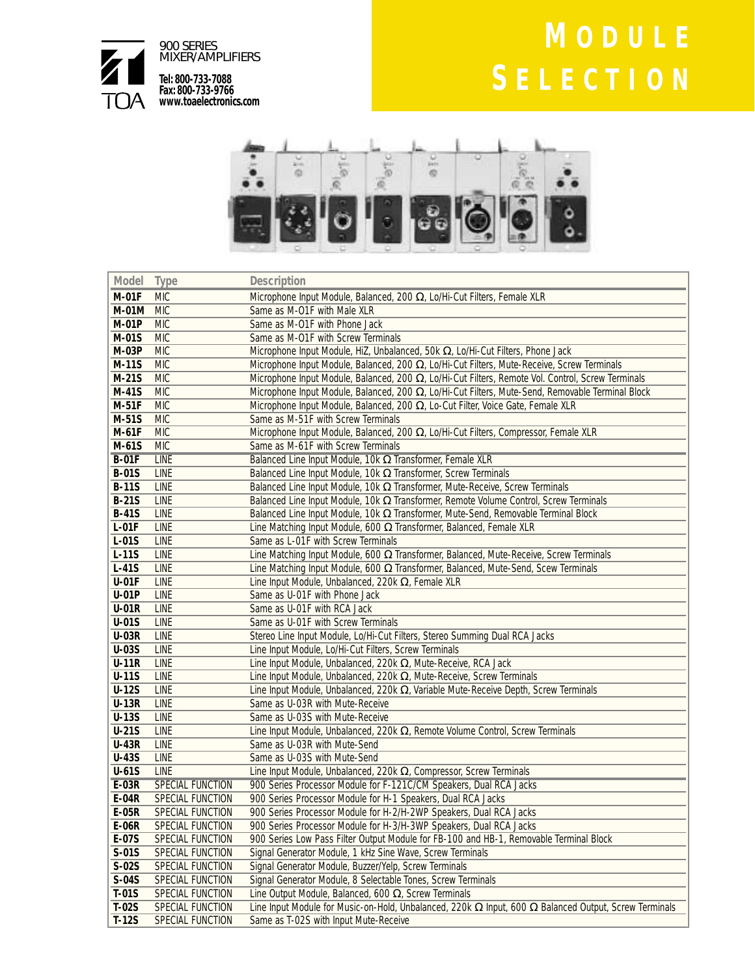

# **M ODULE S ELECTION**



| Model        | <b>Type</b>      | <b>Description</b>                                                                                                  |
|--------------|------------------|---------------------------------------------------------------------------------------------------------------------|
| <b>M-01F</b> | <b>MIC</b>       | Microphone Input Module, Balanced, 200 $\Omega$ , Lo/Hi-Cut Filters, Female XLR                                     |
| <b>M-01M</b> | <b>MIC</b>       | Same as M-O1F with Male XLR                                                                                         |
| <b>M-01P</b> | <b>MIC</b>       | Same as M-O1F with Phone Jack                                                                                       |
| M-01S        | <b>MIC</b>       | Same as M-O1F with Screw Terminals                                                                                  |
| <b>M-03P</b> | <b>MIC</b>       | Microphone Input Module, HiZ, Unbalanced, 50k Ω, Lo/Hi-Cut Filters, Phone Jack                                      |
| $M-11S$      | <b>MIC</b>       | Microphone Input Module, Balanced, 200 $\Omega$ , Lo/Hi-Cut Filters, Mute-Receive, Screw Terminals                  |
| $M-21S$      | <b>MIC</b>       | Microphone Input Module, Balanced, 200 $\Omega$ , Lo/Hi-Cut Filters, Remote Vol. Control, Screw Terminals           |
| M-41S        | <b>MIC</b>       | Microphone Input Module, Balanced, 200 $\Omega$ , Lo/Hi-Cut Filters, Mute-Send, Removable Terminal Block            |
| $M-51F$      | <b>MIC</b>       | Microphone Input Module, Balanced, 200 Ω, Lo-Cut Filter, Voice Gate, Female XLR                                     |
| M-51S        | <b>MIC</b>       | Same as M-51F with Screw Terminals                                                                                  |
| $M-61F$      | <b>MIC</b>       | Microphone Input Module, Balanced, 200 Ω, Lo/Hi-Cut Filters, Compressor, Female XLR                                 |
| M-61S        | <b>MIC</b>       | Same as M-61F with Screw Terminals                                                                                  |
| $B-01F$      | <b>LINE</b>      | Balanced Line Input Module, 10k $\Omega$ Transformer, Female XLR                                                    |
| <b>B-01S</b> | <b>LINE</b>      | Balanced Line Input Module, 10k $\Omega$ Transformer, Screw Terminals                                               |
| <b>B-11S</b> | LINE             | Balanced Line Input Module, 10k $\Omega$ Transformer, Mute-Receive, Screw Terminals                                 |
| <b>B-21S</b> | LINE             | Balanced Line Input Module, 10k $\Omega$ Transformer, Remote Volume Control, Screw Terminals                        |
| <b>B-41S</b> | LINE             | Balanced Line Input Module, 10k $\Omega$ Transformer, Mute-Send, Removable Terminal Block                           |
| $L-01F$      | LINE             | Line Matching Input Module, 600 $\Omega$ Transformer, Balanced, Female XLR                                          |
| $L-01S$      | <b>LINE</b>      | Same as L-01F with Screw Terminals                                                                                  |
| $L-11S$      | LINE             | Line Matching Input Module, 600 $\Omega$ Transformer, Balanced, Mute-Receive, Screw Terminals                       |
| $L-41S$      | LINE             | Line Matching Input Module, 600 $\Omega$ Transformer, Balanced, Mute-Send, Scew Terminals                           |
| $U-01F$      | LINE             | Line Input Module, Unbalanced, 220 $k \Omega$ , Female XLR                                                          |
| $U-01P$      | LINE             | Same as U-01F with Phone Jack                                                                                       |
| $U-01R$      | LINE             | Same as U-01F with RCA Jack                                                                                         |
| $U-01S$      | <b>LINE</b>      | Same as U-01F with Screw Terminals                                                                                  |
| <b>U-03R</b> | <b>LINE</b>      | Stereo Line Input Module, Lo/Hi-Cut Filters, Stereo Summing Dual RCA Jacks                                          |
| <b>U-03S</b> | LINE             | Line Input Module, Lo/Hi-Cut Filters, Screw Terminals                                                               |
| $U-11R$      | LINE             | Line Input Module, Unbalanced, 220k $\Omega$ , Mute-Receive, RCA Jack                                               |
| $U-11S$      | LINE             | Line Input Module, Unbalanced, 220k $\Omega$ , Mute-Receive, Screw Terminals                                        |
| $U-12S$      | LINE             | Line Input Module, Unbalanced, 220k $\Omega$ , Variable Mute-Receive Depth, Screw Terminals                         |
| <b>U-13R</b> | <b>LINE</b>      | Same as U-03R with Mute-Receive                                                                                     |
| <b>U-13S</b> | <b>LINE</b>      | Same as U-03S with Mute-Receive                                                                                     |
| $U-21S$      | LINE             | Line Input Module, Unbalanced, 220k $\Omega$ , Remote Volume Control, Screw Terminals                               |
| <b>U-43R</b> | LINE             | Same as U-03R with Mute-Send                                                                                        |
| <b>U-43S</b> | LINE             | Same as U-03S with Mute-Send                                                                                        |
| $U-61S$      | <b>LINE</b>      | Line Input Module, Unbalanced, 220k $\Omega$ , Compressor, Screw Terminals                                          |
| $E-03R$      | SPECIAL FUNCTION | 900 Series Processor Module for F-121C/CM Speakers, Dual RCA Jacks                                                  |
| E-04R        | SPECIAL FUNCTION | 900 Series Processor Module for H-1 Speakers, Dual RCA Jacks                                                        |
| <b>E-05R</b> | SPECIAL FUNCTION | 900 Series Processor Module for H-2/H-2WP Speakers, Dual RCA Jacks                                                  |
| $E-06R$      | SPECIAL FUNCTION | 900 Series Processor Module for H-3/H-3WP Speakers, Dual RCA Jacks                                                  |
| E-07S        | SPECIAL FUNCTION | 900 Series Low Pass Filter Output Module for FB-100 and HB-1, Removable Terminal Block                              |
| $S-01S$      | SPECIAL FUNCTION | Signal Generator Module, 1 kHz Sine Wave, Screw Terminals                                                           |
| $S-02S$      | SPECIAL FUNCTION | Signal Generator Module, Buzzer/Yelp, Screw Terminals                                                               |
| $S-04S$      | SPECIAL FUNCTION | Signal Generator Module, 8 Selectable Tones, Screw Terminals                                                        |
| $T-01S$      | SPECIAL FUNCTION | Line Output Module, Balanced, 600 Q, Screw Terminals                                                                |
| $T-02S$      | SPECIAL FUNCTION | Line Input Module for Music-on-Hold, Unbalanced, 220k $\Omega$ Input, 600 $\Omega$ Balanced Output, Screw Terminals |
| $T-12S$      | SPECIAL FUNCTION | Same as T-02S with Input Mute-Receive                                                                               |